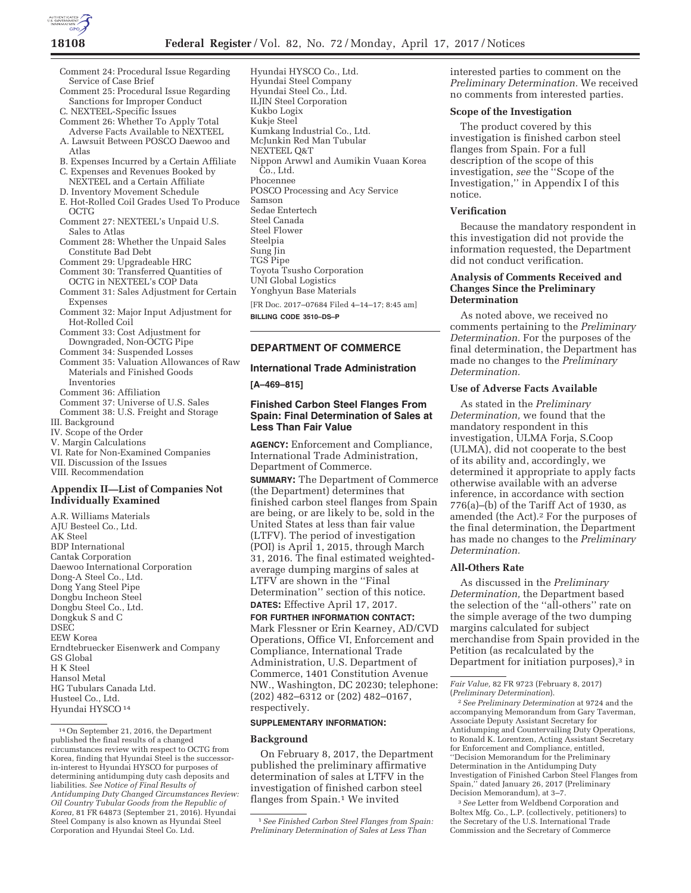

- Comment 24: Procedural Issue Regarding Service of Case Brief
- Comment 25: Procedural Issue Regarding Sanctions for Improper Conduct
- C. NEXTEEL-Specific Issues
- Comment 26: Whether To Apply Total Adverse Facts Available to NEXTEEL A. Lawsuit Between POSCO Daewoo and
- Atlas
- B. Expenses Incurred by a Certain Affiliate C. Expenses and Revenues Booked by
- NEXTEEL and a Certain Affiliate
- D. Inventory Movement Schedule
- E. Hot-Rolled Coil Grades Used To Produce OCTG
- Comment 27: NEXTEEL's Unpaid U.S. Sales to Atlas
- Comment 28: Whether the Unpaid Sales Constitute Bad Debt
- Comment 29: Upgradeable HRC
- Comment 30: Transferred Quantities of
- OCTG in NEXTEEL's COP Data Comment 31: Sales Adjustment for Certain
- Expenses Comment 32: Major Input Adjustment for Hot-Rolled Coil
- Comment 33: Cost Adjustment for
- Downgraded, Non-OCTG Pipe Comment 34: Suspended Losses
- Comment 35: Valuation Allowances of Raw Materials and Finished Goods Inventories
- Comment 36: Affiliation
- Comment 37: Universe of U.S. Sales
- Comment 38: U.S. Freight and Storage
- III. Background
- IV. Scope of the Order
- V. Margin Calculations
- VI. Rate for Non-Examined Companies
- VII. Discussion of the Issues

VIII. Recommendation

### **Appendix II—List of Companies Not Individually Examined**

A.R. Williams Materials AJU Besteel Co., Ltd. AK Steel BDP International Cantak Corporation Daewoo International Corporation Dong-A Steel Co., Ltd. Dong Yang Steel Pipe Dongbu Incheon Steel Dongbu Steel Co., Ltd. Dongkuk S and C DSEC EEW Korea Erndtebruecker Eisenwerk and Company GS Global H K Steel Hansol Metal HG Tubulars Canada Ltd. Husteel Co., Ltd. Hyundai HYSCO 14

Hyundai HYSCO Co., Ltd. Hyundai Steel Company Hyundai Steel Co., Ltd. ILJIN Steel Corporation Kukbo Logix Kukje Steel Kumkang Industrial Co., Ltd. McJunkin Red Man Tubular NEXTEEL Q&T Nippon Arwwl and Aumikin Vuaan Korea Co., Ltd. Phocennee POSCO Processing and Acy Service Samson Sedae Entertech Steel Canada Steel Flower Steelpia Sung Jin TGS Pipe Toyota Tsusho Corporation UNI Global Logistics Yonghyun Base Materials [FR Doc. 2017–07684 Filed 4–14–17; 8:45 am] **BILLING CODE 3510–DS–P** 

# **DEPARTMENT OF COMMERCE**

#### **International Trade Administration**

**[A–469–815]** 

# **Finished Carbon Steel Flanges From Spain: Final Determination of Sales at Less Than Fair Value**

**AGENCY:** Enforcement and Compliance, International Trade Administration, Department of Commerce.

**SUMMARY:** The Department of Commerce (the Department) determines that finished carbon steel flanges from Spain are being, or are likely to be, sold in the United States at less than fair value (LTFV). The period of investigation (POI) is April 1, 2015, through March 31, 2016. The final estimated weightedaverage dumping margins of sales at LTFV are shown in the ''Final Determination'' section of this notice.

**DATES:** Effective April 17, 2017.

**FOR FURTHER INFORMATION CONTACT:**  Mark Flessner or Erin Kearney, AD/CVD Operations, Office VI, Enforcement and Compliance, International Trade Administration, U.S. Department of Commerce, 1401 Constitution Avenue NW., Washington, DC 20230; telephone: (202) 482–6312 or (202) 482–0167, respectively.

#### **SUPPLEMENTARY INFORMATION:**

#### **Background**

On February 8, 2017, the Department published the preliminary affirmative determination of sales at LTFV in the investigation of finished carbon steel flanges from Spain.<sup>1</sup> We invited

interested parties to comment on the *Preliminary Determination.* We received no comments from interested parties.

#### **Scope of the Investigation**

The product covered by this investigation is finished carbon steel flanges from Spain. For a full description of the scope of this investigation, *see* the ''Scope of the Investigation,'' in Appendix I of this notice.

#### **Verification**

Because the mandatory respondent in this investigation did not provide the information requested, the Department did not conduct verification.

# **Analysis of Comments Received and Changes Since the Preliminary Determination**

As noted above, we received no comments pertaining to the *Preliminary Determination.* For the purposes of the final determination, the Department has made no changes to the *Preliminary Determination.* 

#### **Use of Adverse Facts Available**

As stated in the *Preliminary Determination,* we found that the mandatory respondent in this investigation, ULMA Forja, S.Coop (ULMA), did not cooperate to the best of its ability and, accordingly, we determined it appropriate to apply facts otherwise available with an adverse inference, in accordance with section  $776(a)$ –(b) of the Tariff Act of 1930, as amended (the Act).2 For the purposes of the final determination, the Department has made no changes to the *Preliminary Determination.* 

#### **All-Others Rate**

As discussed in the *Preliminary Determination,* the Department based the selection of the ''all-others'' rate on the simple average of the two dumping margins calculated for subject merchandise from Spain provided in the Petition (as recalculated by the Department for initiation purposes),<sup>3</sup> in

2*See Preliminary Determination* at 9724 and the accompanying Memorandum from Gary Taverman, Associate Deputy Assistant Secretary for Antidumping and Countervailing Duty Operations, to Ronald K. Lorentzen, Acting Assistant Secretary for Enforcement and Compliance, entitled, ''Decision Memorandum for the Preliminary Determination in the Antidumping Duty Investigation of Finished Carbon Steel Flanges from Spain,'' dated January 26, 2017 (Preliminary Decision Memorandum), at 3–7.

3*See* Letter from Weldbend Corporation and Boltex Mfg. Co., L.P. (collectively, petitioners) to the Secretary of the U.S. International Trade Commission and the Secretary of Commerce

<sup>14</sup>On September 21, 2016, the Department published the final results of a changed circumstances review with respect to OCTG from Korea, finding that Hyundai Steel is the successorin-interest to Hyundai HYSCO for purposes of determining antidumping duty cash deposits and liabilities. *See Notice of Final Results of Antidumping Duty Changed Circumstances Review: Oil Country Tubular Goods from the Republic of Korea,* 81 FR 64873 (September 21, 2016). Hyundai Steel Company is also known as Hyundai Steel Corporation and Hyundai Steel Co. Ltd.

<sup>1</sup>*See Finished Carbon Steel Flanges from Spain: Preliminary Determination of Sales at Less Than* 

*Fair Value,* 82 FR 9723 (February 8, 2017) (*Preliminary Determination*).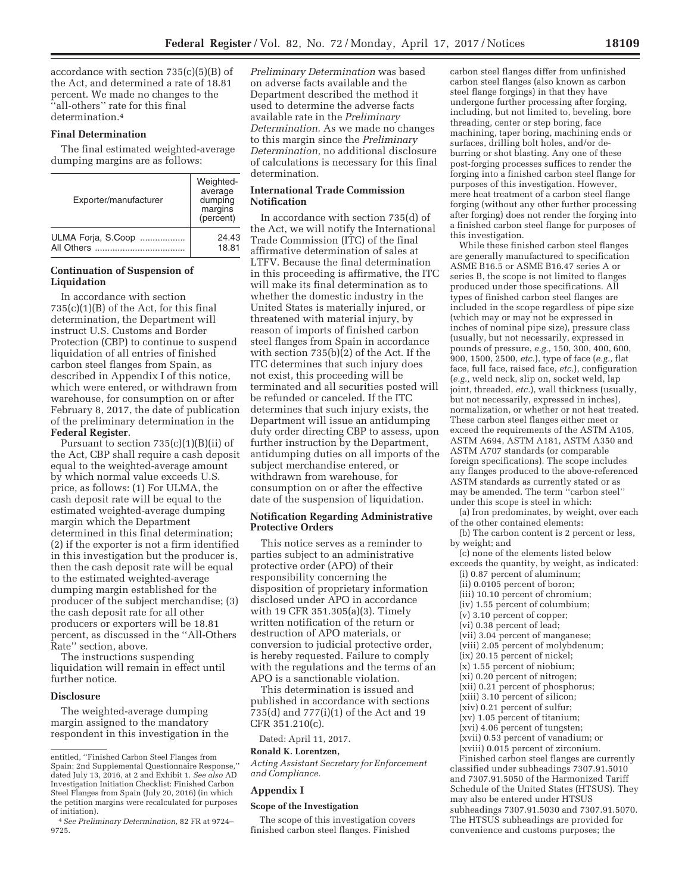accordance with section 735(c)(5)(B) of the Act, and determined a rate of 18.81 percent. We made no changes to the ''all-others'' rate for this final determination.4

# **Final Determination**

The final estimated weighted-average dumping margins are as follows:

| Exporter/manufacturer                 | Weighted-<br>average<br>dumping<br>margins<br>(percent) |
|---------------------------------------|---------------------------------------------------------|
| ULMA Forja, S.Coop<br>All Others<br>. | 24.43<br>18.81                                          |

# **Continuation of Suspension of Liquidation**

In accordance with section  $735(c)(1)(B)$  of the Act, for this final determination, the Department will instruct U.S. Customs and Border Protection (CBP) to continue to suspend liquidation of all entries of finished carbon steel flanges from Spain, as described in Appendix I of this notice, which were entered, or withdrawn from warehouse, for consumption on or after February 8, 2017, the date of publication of the preliminary determination in the **Federal Register**.

Pursuant to section 735(c)(1)(B)(ii) of the Act, CBP shall require a cash deposit equal to the weighted-average amount by which normal value exceeds U.S. price, as follows: (1) For ULMA, the cash deposit rate will be equal to the estimated weighted-average dumping margin which the Department determined in this final determination; (2) if the exporter is not a firm identified in this investigation but the producer is, then the cash deposit rate will be equal to the estimated weighted-average dumping margin established for the producer of the subject merchandise; (3) the cash deposit rate for all other producers or exporters will be 18.81 percent, as discussed in the ''All-Others Rate'' section, above.

The instructions suspending liquidation will remain in effect until further notice.

#### **Disclosure**

The weighted-average dumping margin assigned to the mandatory respondent in this investigation in the *Preliminary Determination* was based on adverse facts available and the Department described the method it used to determine the adverse facts available rate in the *Preliminary Determination.* As we made no changes to this margin since the *Preliminary Determination,* no additional disclosure of calculations is necessary for this final determination.

# **International Trade Commission Notification**

In accordance with section 735(d) of the Act, we will notify the International Trade Commission (ITC) of the final affirmative determination of sales at LTFV. Because the final determination in this proceeding is affirmative, the ITC will make its final determination as to whether the domestic industry in the United States is materially injured, or threatened with material injury, by reason of imports of finished carbon steel flanges from Spain in accordance with section 735(b)(2) of the Act. If the ITC determines that such injury does not exist, this proceeding will be terminated and all securities posted will be refunded or canceled. If the ITC determines that such injury exists, the Department will issue an antidumping duty order directing CBP to assess, upon further instruction by the Department, antidumping duties on all imports of the subject merchandise entered, or withdrawn from warehouse, for consumption on or after the effective date of the suspension of liquidation.

## **Notification Regarding Administrative Protective Orders**

This notice serves as a reminder to parties subject to an administrative protective order (APO) of their responsibility concerning the disposition of proprietary information disclosed under APO in accordance with 19 CFR 351.305(a)(3). Timely written notification of the return or destruction of APO materials, or conversion to judicial protective order, is hereby requested. Failure to comply with the regulations and the terms of an APO is a sanctionable violation.

This determination is issued and published in accordance with sections 735(d) and 777(i)(1) of the Act and 19 CFR 351.210(c).

Dated: April 11, 2017.

#### **Ronald K. Lorentzen,**

*Acting Assistant Secretary for Enforcement and Compliance.* 

#### **Appendix I**

#### **Scope of the Investigation**

The scope of this investigation covers finished carbon steel flanges. Finished

carbon steel flanges differ from unfinished carbon steel flanges (also known as carbon steel flange forgings) in that they have undergone further processing after forging, including, but not limited to, beveling, bore threading, center or step boring, face machining, taper boring, machining ends or surfaces, drilling bolt holes, and/or deburring or shot blasting. Any one of these post-forging processes suffices to render the forging into a finished carbon steel flange for purposes of this investigation. However, mere heat treatment of a carbon steel flange forging (without any other further processing after forging) does not render the forging into a finished carbon steel flange for purposes of this investigation.

While these finished carbon steel flanges are generally manufactured to specification ASME B16.5 or ASME B16.47 series A or series B, the scope is not limited to flanges produced under those specifications. All types of finished carbon steel flanges are included in the scope regardless of pipe size (which may or may not be expressed in inches of nominal pipe size), pressure class (usually, but not necessarily, expressed in pounds of pressure, *e.g.,* 150, 300, 400, 600, 900, 1500, 2500, *etc.*), type of face (*e.g.,* flat face, full face, raised face, *etc.*), configuration (*e.g.,* weld neck, slip on, socket weld, lap joint, threaded, *etc.*), wall thickness (usually, but not necessarily, expressed in inches), normalization, or whether or not heat treated. These carbon steel flanges either meet or exceed the requirements of the ASTM A105, ASTM A694, ASTM A181, ASTM A350 and ASTM A707 standards (or comparable foreign specifications). The scope includes any flanges produced to the above-referenced ASTM standards as currently stated or as may be amended. The term ''carbon steel'' under this scope is steel in which:

(a) Iron predominates, by weight, over each of the other contained elements:

(b) The carbon content is 2 percent or less, by weight; and

(c) none of the elements listed below

- exceeds the quantity, by weight, as indicated: (i) 0.87 percent of aluminum;
	- (ii) 0.0105 percent of boron;
	- (iii) 10.10 percent of chromium;
	- (iv) 1.55 percent of columbium;
	- (v) 3.10 percent of copper;
	- (vi) 0.38 percent of lead;
	- (vii) 3.04 percent of manganese;
	- (viii) 2.05 percent of molybdenum;
	- (ix) 20.15 percent of nickel;
	- (x) 1.55 percent of niobium;
	- (xi) 0.20 percent of nitrogen;
	- (xii) 0.21 percent of phosphorus;
	- (xiii) 3.10 percent of silicon;
	- (xiv) 0.21 percent of sulfur;
	- (xv) 1.05 percent of titanium;
	- (xvi) 4.06 percent of tungsten;
	- (xvii) 0.53 percent of vanadium; or
- (xviii) 0.015 percent of zirconium.

Finished carbon steel flanges are currently classified under subheadings 7307.91.5010 and 7307.91.5050 of the Harmonized Tariff Schedule of the United States (HTSUS). They may also be entered under HTSUS subheadings 7307.91.5030 and 7307.91.5070. The HTSUS subheadings are provided for convenience and customs purposes; the

entitled, ''Finished Carbon Steel Flanges from Spain: 2nd Supplemental Questionnaire Response,'' dated July 13, 2016, at 2 and Exhibit 1. *See also* AD Investigation Initiation Checklist: Finished Carbon Steel Flanges from Spain (July 20, 2016) (in which the petition margins were recalculated for purposes of initiation).

<sup>4</sup>*See Preliminary Determination,* 82 FR at 9724– 9725.